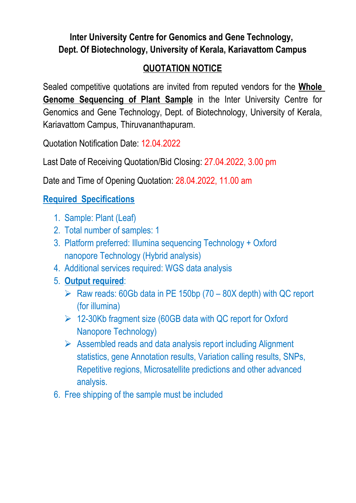## **Inter University Centre for Genomics and Gene Technology, Dept. Of Biotechnology, University of Kerala, Kariavattom Campus**

## **QUOTATION NOTICE**

Sealed competitive quotations are invited from reputed vendors for the **Whole Genome Sequencing of Plant Sample** in the Inter University Centre for Genomics and Gene Technology, Dept. of Biotechnology, University of Kerala, Kariavattom Campus, Thiruvananthapuram.

Quotation Notification Date: 12.04.2022

Last Date of Receiving Quotation/Bid Closing: 27.04.2022, 3.00 pm

Date and Time of Opening Quotation: 28.04.2022, 11.00 am

## **Required Specifications**

- 1. Sample: Plant (Leaf)
- 2. Total number of samples: 1
- 3. Platform preferred: Illumina sequencing Technology + Oxford nanopore Technology (Hybrid analysis)
- 4. Additional services required: WGS data analysis
- 5. **Output required**:
	- $\triangleright$  Raw reads: 60Gb data in PE 150bp (70 80X depth) with QC report (for illumina)
	- 12-30Kb fragment size (60GB data with QC report for Oxford Nanopore Technology)
	- $\triangleright$  Assembled reads and data analysis report including Alignment statistics, gene Annotation results, Variation calling results, SNPs, Repetitive regions, Microsatellite predictions and other advanced analysis.
- 6. Free shipping of the sample must be included